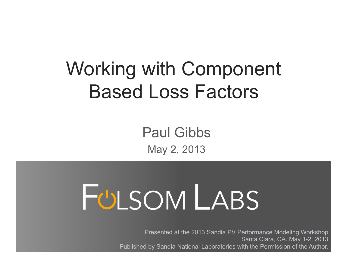# Working with Component Based Loss Factors

Paul Gibbs May 2, 2013

# FULSOM LABS

Presented at the 2013 Sandia PV Performance Modeling Workshop Santa Clara, CA. May 1-2, 2013 Published by Sandia National Laboratories with the Permission of the Author.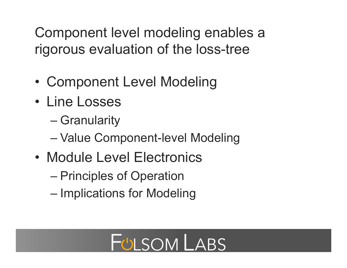Component level modeling enables a rigorous evaluation of the loss-tree

- Component Level Modeling
- Line Losses
	- Granularity
	- Value Component-level Modeling
- Module Level Electronics
	- Principles of Operation
	- Implications for Modeling

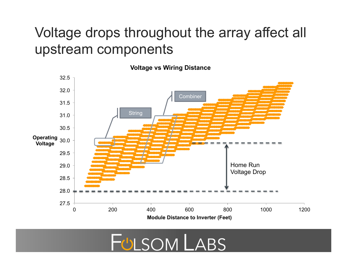#### Voltage drops throughout the array affect all upstream components



**Voltage vs Wiring Distance** 

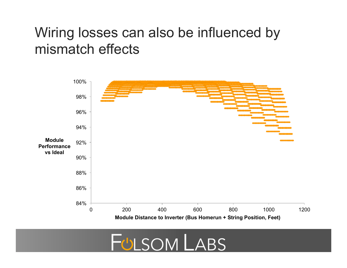#### Wiring losses can also be influenced by mismatch effects



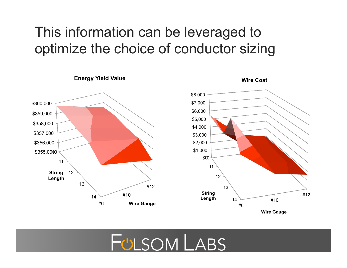### This information can be leveraged to optimize the choice of conductor sizing



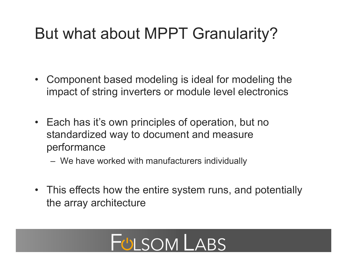## But what about MPPT Granularity?

- Component based modeling is ideal for modeling the impact of string inverters or module level electronics
- Each has it's own principles of operation, but no standardized way to document and measure performance
	- We have worked with manufacturers individually
- This effects how the entire system runs, and potentially the array architecture

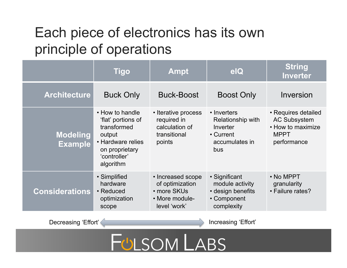### Each piece of electronics has its own principle of operations

|                                   | <b>Tigo</b>                                                                                                                        | <b>Ampt</b>                                                                           | elQ                                                                                       | <b>String</b><br><b>Inverter</b>                                                              |
|-----------------------------------|------------------------------------------------------------------------------------------------------------------------------------|---------------------------------------------------------------------------------------|-------------------------------------------------------------------------------------------|-----------------------------------------------------------------------------------------------|
| <b>Architecture</b>               | <b>Buck Only</b>                                                                                                                   | <b>Buck-Boost</b>                                                                     | <b>Boost Only</b>                                                                         | Inversion                                                                                     |
| <b>Modeling</b><br><b>Example</b> | • How to handle<br>'flat' portions of<br>transformed<br>output<br>• Hardware relies<br>on proprietary<br>'controller'<br>algorithm | • Iterative process<br>required in<br>calculation of<br>transitional<br>points        | • Inverters<br>Relationship with<br>Inverter<br>• Current<br>accumulates in<br><b>bus</b> | • Requires detailed<br><b>AC Subsystem</b><br>• How to maximize<br><b>MPPT</b><br>performance |
| <b>Considerations</b>             | • Simplified<br>hardware<br>• Reduced<br>optimization<br>scope                                                                     | • Increased scope<br>of optimization<br>• more SKUs<br>• More module-<br>level 'work' | • Significant<br>module activity<br>• design benefits<br>• Component<br>complexity        | • No MPPT<br>granularity<br>• Failure rates?                                                  |

Decreasing 'Effort' / **Increasing 'Effort'** Increasing 'Effort'

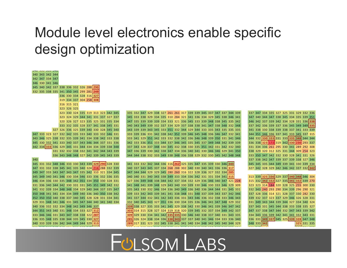#### Module level electronics enable specific design optimization

330 324 335 319 313 323 342 345 335 332 347 329 338 327 261 261 317 339 339 345 337 347 337 344 339 337 347 334 335 327 325 331 329 332 336

348 344 345 340 331 341 337 343 **332** 290 315 325 329 343 337 342 332 346 340 340 337 337 343 340 339 331 328 340 **313 333** 331 333

 324 329 344 341 331 337 327 337 345 333 338 329 334 335 310 284 321 341 336 334 329 345 338 346 341 347 340 344 347 338 345 334 335 339 351 326 327 323 335 325 331 335 334 347 335 339 339 339 334 333 321 336 345 333 339 348 338 345 335 342 346 342 337 339 342 334 328 331 336 **338** 332 335 328 337 341 338 345 331 340 343 349 339 332 337 334 329 337 338 338 341 347 338 348 332 348 337 342 336 339 337 336 345 349 349 **335** 326 336 325 339 340 330 328 345 340 343 339 339 343 345 333 351 332 344 329 344 333 335 343 335 335 335 341 338 330 338 339 338 337 341 333 339 333 323 327 332 342 335 333 340 333 332 346 331 333 339 336 331 342 338 342 352 339 346 345 348 336 346 347 332 341 344 351 346 336 337 341 333 345 337 315 346 325 338 332 335 339 341 334 338 342 333 338 333 341 329 351 342 333 332 338 342 336 346 348 339 350 331 341 346 344 332 **330 333** 331 333 **335 348** 344 344 330 332 341 333 340 337 343 346 344 337 331 336 342 333 336 351 333 344 337 346 345 335 345 337 349 348 342 339 339 336 338 **323 172** 319 342 **330 230** 293 337 334 **333** 336 329 345 331 344 334 334 339 338 348 337 343 328 337 348 330 345 332 338 330 335 351 342 331 342 332 340 331 334 336 261 295 330 341 289 292 308 332 332 338 332 341 342 344 343 339 347 336 339 330 342 338 347 334 336 340 341 330 346 346 329 341 350 338 329 320 312 325 331 344 309 254 323 343 348 348 327 342 339 345 343 339 344 344 338 332 333 349 338 348 336 338 329 332 330 345 342 348 348 333 350 347 342 332 330 328 341 331 326 337 338 342 347 339 337 339 338 327 346 331 332 348 346 333 330 343 339 **329 290** 328 330 341 333 332 342 344 336 316 **262** 325 335 347 335 339 330 346 **343** 345 345 335 344 349 339 341 330 339 334

 347 333 343 347 343 347 335 342 310 321 334 345 347 344 344 329 329 345 280 260 316 322 328 336 327 332 334 **285** 349 340 341 346 330 334 346 333 336 332 336 335 340 340 331 340 343 338 349 333 334 336 342 331 331 334 341 **315** 313 339 **325 336** 329 337 **340 348** 346 304 334 336 330 335 348 342 351 334 350 330 328 331 327 336 349 348 338 344 342 337 334 332 329 336 346 340 347 321 228 315 332 **342 332** 327 335 **341 332** 339 270 336 340 344 342 330 331 331 345 351 349 342 332 341 348 341 339 348 329 343 340 330 339 330 346 330 333 346 329 309 323 323 314 184 320 328 325 255 300 330 332 339 334 348 348 334 329 340 344 337 335 347 335 343 330 332 346 334 336 340 349 336 340 336 344 344 331 345 331 332 343 240 293 290 334 339 296 290 321 348 341 341 334 334 349 340 336 340 350 338 342 339 333 342 343 339 341 341 338 348 331 348 337 339 343 337 342 346 337 328 336 314 321 328 337 330 282 330 350 350 340 338 337 340 345 328 328 331 334 341 341 337 344 332 341 342 343 336 331 343 346 336 332 338 333 346 343 339 332 337 323 337 329 346 326 328 331 331 348 341 346 331 345 347 344 340 341 340 334 332 340 345 343 327 351 336 330 334 335 336 346 341 347 348 329 332 331 349 343 344 339 344 327 334 340 324 336 332 332 334 348 342 349 346 337 **339** 338 327 335 333 341 345 329 338 342 330 346 341 339 346 347 342 337 343 331 345 344 338 333 338 335 327 351 343 340 331 348 334 333 327 **312 303** 314 315 328 327 324 319 318 320 339 345 332 337 334 349 342 337 347 337 338 347 344 332 347 343 339 342 346 346 331 343 347 338 338 322 **287 309** 329 330 334 341 342 **335 335** 330 346 340 338 337 340 331 343 335 334 343 336 339 342 341 341 332 343 331 335 348 335 338 344 335 345 330 **327 285** 326 324 338 334 336 **338 343** 337 337 340 341 346 334 333 336 340 336 331 **349 337** 345 325 **339 328** 347 348 333 339 336 342 344 349 344 329 **313 289** 317 331 323 332 345 338 341 341 340 334 348 342 345 340 344 329 348 333 **342 325** 331 335

 330 341 346 340 342 337 338 336 332 326 288 **290** 335 338 335 341 350 345 299 281 **249** 330 334 328 316 **327** 334 337 304 258 **308** 315 321 326 325 331 332 338 345 341 335 340 324 **216** 288 332 339 340 337 343 345 337 334 268 288 302 340 330 340 341 336 336 **317** 327 342 328 329 342 346 342 337 332 **342**

 333 339 346 343 342 344 347 334 347

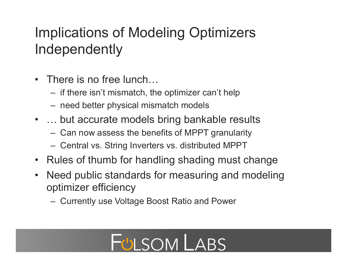## Implications of Modeling Optimizers Independently

- There is no free lunch...
	- if there isn't mismatch, the optimizer can't help
	- need better physical mismatch models
- ... but accurate models bring bankable results
	- Can now assess the benefits of MPPT granularity
	- Central vs. String Inverters vs. distributed MPPT
- Rules of thumb for handling shading must change
- Need public standards for measuring and modeling optimizer efficiency
	- Currently use Voltage Boost Ratio and Power